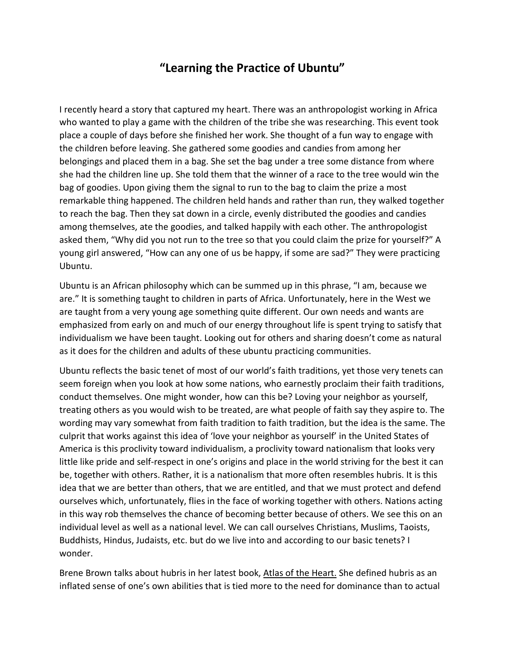## **"Learning the Practice of Ubuntu"**

I recently heard a story that captured my heart. There was an anthropologist working in Africa who wanted to play a game with the children of the tribe she was researching. This event took place a couple of days before she finished her work. She thought of a fun way to engage with the children before leaving. She gathered some goodies and candies from among her belongings and placed them in a bag. She set the bag under a tree some distance from where she had the children line up. She told them that the winner of a race to the tree would win the bag of goodies. Upon giving them the signal to run to the bag to claim the prize a most remarkable thing happened. The children held hands and rather than run, they walked together to reach the bag. Then they sat down in a circle, evenly distributed the goodies and candies among themselves, ate the goodies, and talked happily with each other. The anthropologist asked them, "Why did you not run to the tree so that you could claim the prize for yourself?" A young girl answered, "How can any one of us be happy, if some are sad?" They were practicing Ubuntu.

Ubuntu is an African philosophy which can be summed up in this phrase, "I am, because we are." It is something taught to children in parts of Africa. Unfortunately, here in the West we are taught from a very young age something quite different. Our own needs and wants are emphasized from early on and much of our energy throughout life is spent trying to satisfy that individualism we have been taught. Looking out for others and sharing doesn't come as natural as it does for the children and adults of these ubuntu practicing communities.

Ubuntu reflects the basic tenet of most of our world's faith traditions, yet those very tenets can seem foreign when you look at how some nations, who earnestly proclaim their faith traditions, conduct themselves. One might wonder, how can this be? Loving your neighbor as yourself, treating others as you would wish to be treated, are what people of faith say they aspire to. The wording may vary somewhat from faith tradition to faith tradition, but the idea is the same. The culprit that works against this idea of 'love your neighbor as yourself' in the United States of America is this proclivity toward individualism, a proclivity toward nationalism that looks very little like pride and self-respect in one's origins and place in the world striving for the best it can be, together with others. Rather, it is a nationalism that more often resembles hubris. It is this idea that we are better than others, that we are entitled, and that we must protect and defend ourselves which, unfortunately, flies in the face of working together with others. Nations acting in this way rob themselves the chance of becoming better because of others. We see this on an individual level as well as a national level. We can call ourselves Christians, Muslims, Taoists, Buddhists, Hindus, Judaists, etc. but do we live into and according to our basic tenets? I wonder.

Brene Brown talks about hubris in her latest book, Atlas of the Heart. She defined hubris as an inflated sense of one's own abilities that is tied more to the need for dominance than to actual